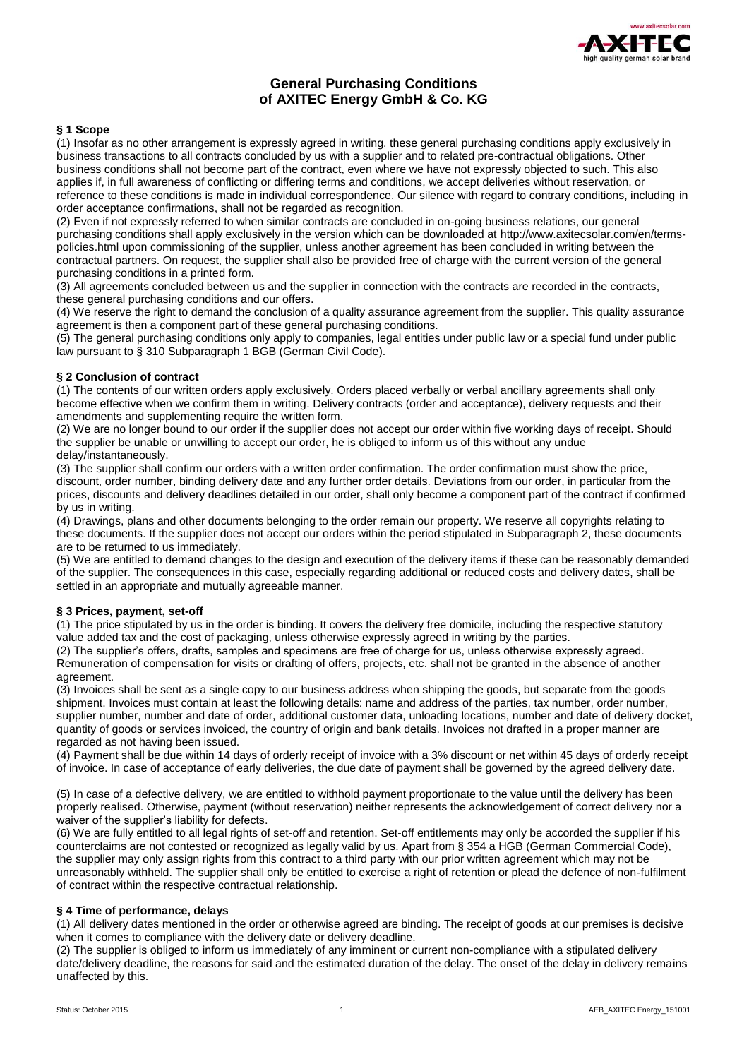

# **General Purchasing Conditions of AXITEC Energy GmbH & Co. KG**

## **§ 1 Scope**

(1) Insofar as no other arrangement is expressly agreed in writing, these general purchasing conditions apply exclusively in business transactions to all contracts concluded by us with a supplier and to related pre-contractual obligations. Other business conditions shall not become part of the contract, even where we have not expressly objected to such. This also applies if, in full awareness of conflicting or differing terms and conditions, we accept deliveries without reservation, or reference to these conditions is made in individual correspondence. Our silence with regard to contrary conditions, including in order acceptance confirmations, shall not be regarded as recognition.

(2) Even if not expressly referred to when similar contracts are concluded in on-going business relations, our general purchasing conditions shall apply exclusively in the version which can be downloaded at http://www.axitecsolar.com/en/termspolicies.html upon commissioning of the supplier, unless another agreement has been concluded in writing between the contractual partners. On request, the supplier shall also be provided free of charge with the current version of the general purchasing conditions in a printed form.

(3) All agreements concluded between us and the supplier in connection with the contracts are recorded in the contracts, these general purchasing conditions and our offers.

(4) We reserve the right to demand the conclusion of a quality assurance agreement from the supplier. This quality assurance agreement is then a component part of these general purchasing conditions.

(5) The general purchasing conditions only apply to companies, legal entities under public law or a special fund under public law pursuant to § 310 Subparagraph 1 BGB (German Civil Code).

## **§ 2 Conclusion of contract**

(1) The contents of our written orders apply exclusively. Orders placed verbally or verbal ancillary agreements shall only become effective when we confirm them in writing. Delivery contracts (order and acceptance), delivery requests and their amendments and supplementing require the written form.

(2) We are no longer bound to our order if the supplier does not accept our order within five working days of receipt. Should the supplier be unable or unwilling to accept our order, he is obliged to inform us of this without any undue delay/instantaneously.

(3) The supplier shall confirm our orders with a written order confirmation. The order confirmation must show the price, discount, order number, binding delivery date and any further order details. Deviations from our order, in particular from the prices, discounts and delivery deadlines detailed in our order, shall only become a component part of the contract if confirmed by us in writing.

(4) Drawings, plans and other documents belonging to the order remain our property. We reserve all copyrights relating to these documents. If the supplier does not accept our orders within the period stipulated in Subparagraph 2, these documents are to be returned to us immediately.

(5) We are entitled to demand changes to the design and execution of the delivery items if these can be reasonably demanded of the supplier. The consequences in this case, especially regarding additional or reduced costs and delivery dates, shall be settled in an appropriate and mutually agreeable manner.

## **§ 3 Prices, payment, set-off**

(1) The price stipulated by us in the order is binding. It covers the delivery free domicile, including the respective statutory value added tax and the cost of packaging, unless otherwise expressly agreed in writing by the parties.

(2) The supplier's offers, drafts, samples and specimens are free of charge for us, unless otherwise expressly agreed. Remuneration of compensation for visits or drafting of offers, projects, etc. shall not be granted in the absence of another agreement.

(3) Invoices shall be sent as a single copy to our business address when shipping the goods, but separate from the goods shipment. Invoices must contain at least the following details: name and address of the parties, tax number, order number, supplier number, number and date of order, additional customer data, unloading locations, number and date of delivery docket, quantity of goods or services invoiced, the country of origin and bank details. Invoices not drafted in a proper manner are regarded as not having been issued.

(4) Payment shall be due within 14 days of orderly receipt of invoice with a 3% discount or net within 45 days of orderly receipt of invoice. In case of acceptance of early deliveries, the due date of payment shall be governed by the agreed delivery date.

(5) In case of a defective delivery, we are entitled to withhold payment proportionate to the value until the delivery has been properly realised. Otherwise, payment (without reservation) neither represents the acknowledgement of correct delivery nor a waiver of the supplier's liability for defects.

(6) We are fully entitled to all legal rights of set-off and retention. Set-off entitlements may only be accorded the supplier if his counterclaims are not contested or recognized as legally valid by us. Apart from § 354 a HGB (German Commercial Code), the supplier may only assign rights from this contract to a third party with our prior written agreement which may not be unreasonably withheld. The supplier shall only be entitled to exercise a right of retention or plead the defence of non-fulfilment of contract within the respective contractual relationship.

## **§ 4 Time of performance, delays**

(1) All delivery dates mentioned in the order or otherwise agreed are binding. The receipt of goods at our premises is decisive when it comes to compliance with the delivery date or delivery deadline.

(2) The supplier is obliged to inform us immediately of any imminent or current non-compliance with a stipulated delivery date/delivery deadline, the reasons for said and the estimated duration of the delay. The onset of the delay in delivery remains unaffected by this.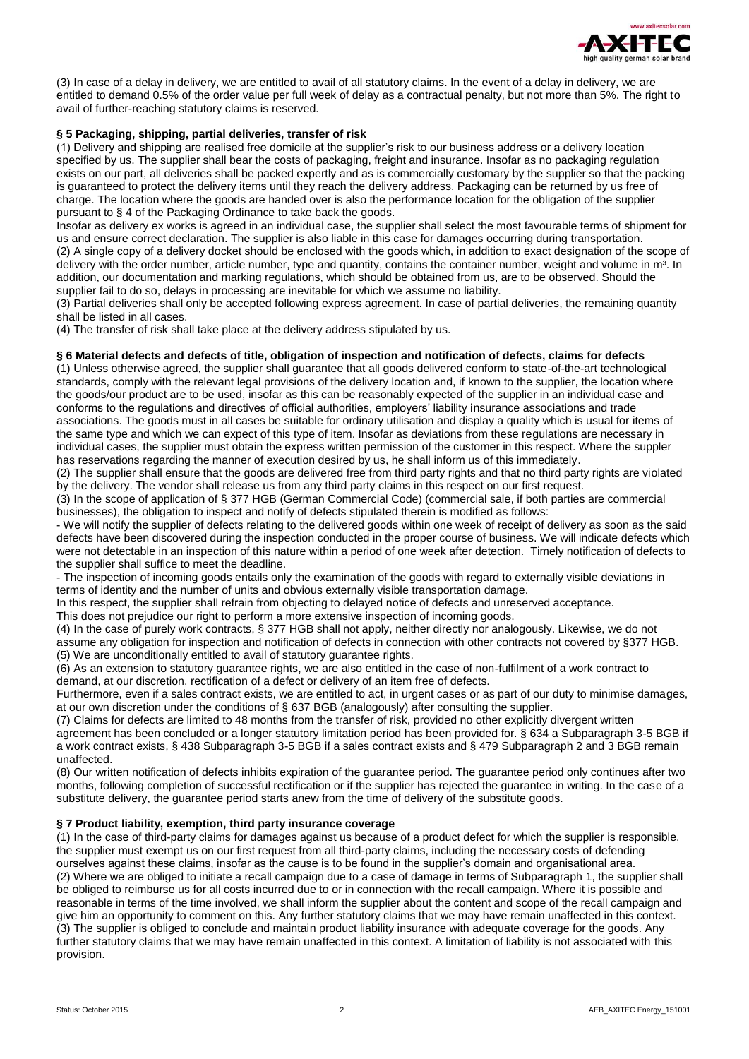

(3) In case of a delay in delivery, we are entitled to avail of all statutory claims. In the event of a delay in delivery, we are entitled to demand 0.5% of the order value per full week of delay as a contractual penalty, but not more than 5%. The right to avail of further-reaching statutory claims is reserved.

## **§ 5 Packaging, shipping, partial deliveries, transfer of risk**

(1) Delivery and shipping are realised free domicile at the supplier's risk to our business address or a delivery location specified by us. The supplier shall bear the costs of packaging, freight and insurance. Insofar as no packaging regulation exists on our part, all deliveries shall be packed expertly and as is commercially customary by the supplier so that the packing is guaranteed to protect the delivery items until they reach the delivery address. Packaging can be returned by us free of charge. The location where the goods are handed over is also the performance location for the obligation of the supplier pursuant to § 4 of the Packaging Ordinance to take back the goods.

Insofar as delivery ex works is agreed in an individual case, the supplier shall select the most favourable terms of shipment for us and ensure correct declaration. The supplier is also liable in this case for damages occurring during transportation. (2) A single copy of a delivery docket should be enclosed with the goods which, in addition to exact designation of the scope of delivery with the order number, article number, type and quantity, contains the container number, weight and volume in m<sup>3</sup>. In addition, our documentation and marking regulations, which should be obtained from us, are to be observed. Should the supplier fail to do so, delays in processing are inevitable for which we assume no liability.

(3) Partial deliveries shall only be accepted following express agreement. In case of partial deliveries, the remaining quantity shall be listed in all cases.

(4) The transfer of risk shall take place at the delivery address stipulated by us.

## **§ 6 Material defects and defects of title, obligation of inspection and notification of defects, claims for defects**

(1) Unless otherwise agreed, the supplier shall guarantee that all goods delivered conform to state-of-the-art technological standards, comply with the relevant legal provisions of the delivery location and, if known to the supplier, the location where the goods/our product are to be used, insofar as this can be reasonably expected of the supplier in an individual case and conforms to the regulations and directives of official authorities, employers' liability insurance associations and trade associations. The goods must in all cases be suitable for ordinary utilisation and display a quality which is usual for items of the same type and which we can expect of this type of item. Insofar as deviations from these regulations are necessary in individual cases, the supplier must obtain the express written permission of the customer in this respect. Where the suppler has reservations regarding the manner of execution desired by us, he shall inform us of this immediately.

(2) The supplier shall ensure that the goods are delivered free from third party rights and that no third party rights are violated by the delivery. The vendor shall release us from any third party claims in this respect on our first request.

(3) In the scope of application of § 377 HGB (German Commercial Code) (commercial sale, if both parties are commercial businesses), the obligation to inspect and notify of defects stipulated therein is modified as follows:

- We will notify the supplier of defects relating to the delivered goods within one week of receipt of delivery as soon as the said defects have been discovered during the inspection conducted in the proper course of business. We will indicate defects which were not detectable in an inspection of this nature within a period of one week after detection. Timely notification of defects to the supplier shall suffice to meet the deadline.

- The inspection of incoming goods entails only the examination of the goods with regard to externally visible deviations in terms of identity and the number of units and obvious externally visible transportation damage.

In this respect, the supplier shall refrain from objecting to delayed notice of defects and unreserved acceptance.

## This does not prejudice our right to perform a more extensive inspection of incoming goods.

(4) In the case of purely work contracts, § 377 HGB shall not apply, neither directly nor analogously. Likewise, we do not assume any obligation for inspection and notification of defects in connection with other contracts not covered by §377 HGB. (5) We are unconditionally entitled to avail of statutory guarantee rights.

(6) As an extension to statutory guarantee rights, we are also entitled in the case of non-fulfilment of a work contract to demand, at our discretion, rectification of a defect or delivery of an item free of defects.

Furthermore, even if a sales contract exists, we are entitled to act, in urgent cases or as part of our duty to minimise damages, at our own discretion under the conditions of § 637 BGB (analogously) after consulting the supplier.

(7) Claims for defects are limited to 48 months from the transfer of risk, provided no other explicitly divergent written agreement has been concluded or a longer statutory limitation period has been provided for. § 634 a Subparagraph 3-5 BGB if a work contract exists, § 438 Subparagraph 3-5 BGB if a sales contract exists and § 479 Subparagraph 2 and 3 BGB remain unaffected.

(8) Our written notification of defects inhibits expiration of the guarantee period. The guarantee period only continues after two months, following completion of successful rectification or if the supplier has rejected the guarantee in writing. In the case of a substitute delivery, the guarantee period starts anew from the time of delivery of the substitute goods.

## **§ 7 Product liability, exemption, third party insurance coverage**

(1) In the case of third-party claims for damages against us because of a product defect for which the supplier is responsible, the supplier must exempt us on our first request from all third-party claims, including the necessary costs of defending ourselves against these claims, insofar as the cause is to be found in the supplier's domain and organisational area. (2) Where we are obliged to initiate a recall campaign due to a case of damage in terms of Subparagraph 1, the supplier shall be obliged to reimburse us for all costs incurred due to or in connection with the recall campaign. Where it is possible and reasonable in terms of the time involved, we shall inform the supplier about the content and scope of the recall campaign and give him an opportunity to comment on this. Any further statutory claims that we may have remain unaffected in this context. (3) The supplier is obliged to conclude and maintain product liability insurance with adequate coverage for the goods. Any further statutory claims that we may have remain unaffected in this context. A limitation of liability is not associated with this provision.